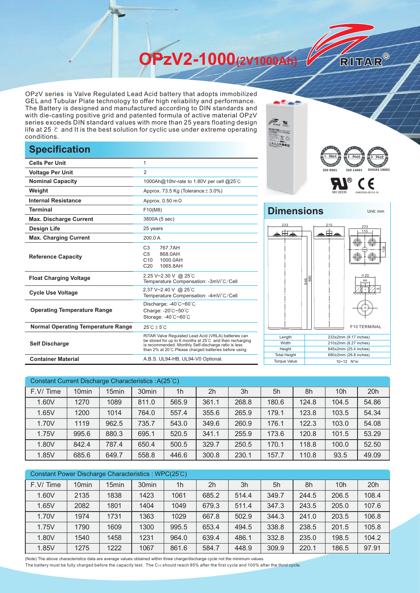**OPzV2-1000(2V1000Ah)** 

OPzV series is Valve Regulated Lead Acid battery that adopts immobilized GEL and Tubular Plate technology to offer high reliability and performance. The Battery is designed and manufactured according to DIN standards and with die-casting positive grid and patented formula of active material OPzV series exceeds DIN standard values with more than 25 years floating design life at 25 ℃ and It is the best solution for cyclic use under extreme operating conditions.

## **Specification**

| <b>Cells Per Unit</b>                     | 1                                                                                                                                                                                                                                  |  |  |  |  |
|-------------------------------------------|------------------------------------------------------------------------------------------------------------------------------------------------------------------------------------------------------------------------------------|--|--|--|--|
| <b>Voltage Per Unit</b>                   | $\overline{2}$                                                                                                                                                                                                                     |  |  |  |  |
| <b>Nominal Capacity</b>                   | 1000Ah@10hr-rate to 1.80V per cell @25°C                                                                                                                                                                                           |  |  |  |  |
| Weight                                    | Approx. 73.5 Kg (Tolerance $\pm$ 3.0%)                                                                                                                                                                                             |  |  |  |  |
| <b>Internal Resistance</b>                | Approx. $0.50 \text{ m}\Omega$                                                                                                                                                                                                     |  |  |  |  |
| <b>Terminal</b>                           | F10(M8)                                                                                                                                                                                                                            |  |  |  |  |
| <b>Max. Discharge Current</b>             | 3800A (5 sec)                                                                                                                                                                                                                      |  |  |  |  |
| <b>Design Life</b>                        | 25 years                                                                                                                                                                                                                           |  |  |  |  |
| <b>Max. Charging Current</b>              | 200.0 A                                                                                                                                                                                                                            |  |  |  |  |
| <b>Reference Capacity</b>                 | 767.7AH<br>C <sub>3</sub><br>C <sub>5</sub><br>868.0AH<br>C10<br>1000.0AH<br>C <sub>20</sub><br>1065.8AH                                                                                                                           |  |  |  |  |
| <b>Float Charging Voltage</b>             | 2.25 V~2.30 V @ 25°C<br>Temperature Compensation: -3mV/°C/Cell                                                                                                                                                                     |  |  |  |  |
| <b>Cycle Use Voltage</b>                  | 2.37 V~2.40 V @ 25°C<br>Temperature Compensation: -4mV/°C/Cell                                                                                                                                                                     |  |  |  |  |
| <b>Operating Temperature Range</b>        | Discharge: -40°C~60°C<br>Charge: -20°C~50°C<br>Storage: -40°C~60°C                                                                                                                                                                 |  |  |  |  |
| <b>Normal Operating Temperature Range</b> | $25^{\circ}$ C + 5 $^{\circ}$ C                                                                                                                                                                                                    |  |  |  |  |
| <b>Self Discharge</b>                     | RITAR Valve Regulated Lead Acid (VRLA) batteries can<br>be stored for up to 6 months at 25°C and then recharging<br>is recommended. Monthly Self-discharge ratio is less<br>than 2% at 20°C.Please charged batteries before using. |  |  |  |  |
| <b>Container Material</b>                 | A.B.S. UL94-HB, UL94-V0 Optional.                                                                                                                                                                                                  |  |  |  |  |



Unit: mm

RITAR®

## **Dimensions**



| Width               | $210\pm2$ mm (8.27 inches) |
|---------------------|----------------------------|
| Height              | 645±2mm (25.4 inches)      |
| <b>Total Height</b> | 680±2mm (26.8 inches)      |
| <b>Torque Value</b> | $10 - 12$ N <sup>*</sup> m |

| Constant Current Discharge Characteristics : A(25 °C) |                   |                   |                   |                |                |       |       |       |                 |       |
|-------------------------------------------------------|-------------------|-------------------|-------------------|----------------|----------------|-------|-------|-------|-----------------|-------|
| F.V/Time                                              | 10 <sub>min</sub> | 15 <sub>min</sub> | 30 <sub>min</sub> | 1 <sub>h</sub> | 2 <sub>h</sub> | 3h    | 5h    | 8h    | 10 <sub>h</sub> | 20h   |
| 1.60V                                                 | 1270              | 1089              | 811.0             | 565.9          | 361.1          | 268.8 | 180.6 | 124.8 | 104.5           | 54.86 |
| 1.65V                                                 | 1200              | 1014              | 764.0             | 557.4          | 355.6          | 265.9 | 179.1 | 123.8 | 103.5           | 54.34 |
| 1.70V                                                 | 1119              | 962.5             | 735.7             | 543.0          | 349.6          | 260.9 | 176.1 | 122.3 | 103.0           | 54.08 |
| 1.75V                                                 | 995.6             | 880.3             | 695.1             | 520.5          | 341.1          | 255.9 | 173.6 | 120.8 | 101.5           | 53.29 |
| 1.80V                                                 | 842.4             | 787.4             | 650.4             | 500.5          | 329.7          | 250.5 | 170.1 | 118.8 | 100.0           | 52.50 |
| 1.85V                                                 | 685.6             | 649.7             | 558.8             | 446.6          | 300.8          | 230.1 | 157.7 | 110.8 | 93.5            | 49.09 |

| Constant Power Discharge Characteristics: WPC(25°C) |                   |       |                   |                |                |       |       |       |                 |       |
|-----------------------------------------------------|-------------------|-------|-------------------|----------------|----------------|-------|-------|-------|-----------------|-------|
| F.V/Time                                            | 10 <sub>min</sub> | 15min | 30 <sub>min</sub> | 1 <sub>h</sub> | 2 <sub>h</sub> | 3h    | 5h    | 8h    | 10 <sub>h</sub> | 20h   |
| 1.60V                                               | 2135              | 1838  | 1423              | 1061           | 685.2          | 514.4 | 349.7 | 244.5 | 206.5           | 108.4 |
| 1.65V                                               | 2082              | 1801  | 1404              | 1049           | 679.3          | 511.4 | 347.3 | 243.5 | 205.0           | 107.6 |
| 1.70V                                               | 1974              | 1731  | 1363              | 1029           | 667.8          | 502.9 | 344.3 | 241.0 | 203.5           | 106.8 |
| 1.75V                                               | 1790              | 1609  | 1300              | 995.5          | 653.4          | 494.5 | 338.8 | 238.5 | 201.5           | 105.8 |
| 1.80V                                               | 1540              | 1458  | 1231              | 964.0          | 639.4          | 486.1 | 332.8 | 235.0 | 198.5           | 104.2 |
| 1.85V                                               | 1275              | 1222  | 1067              | 861.6          | 584.7          | 448.9 | 309.9 | 220.1 | 186.5           | 97.91 |

(Note) The above characteristics data are average values obtained within three charge/discharge cycle not the minimum values.

The battery must be fully charged before the capacity test. The C10 should reach 95% after the first cycle and 100% after the third cycle.